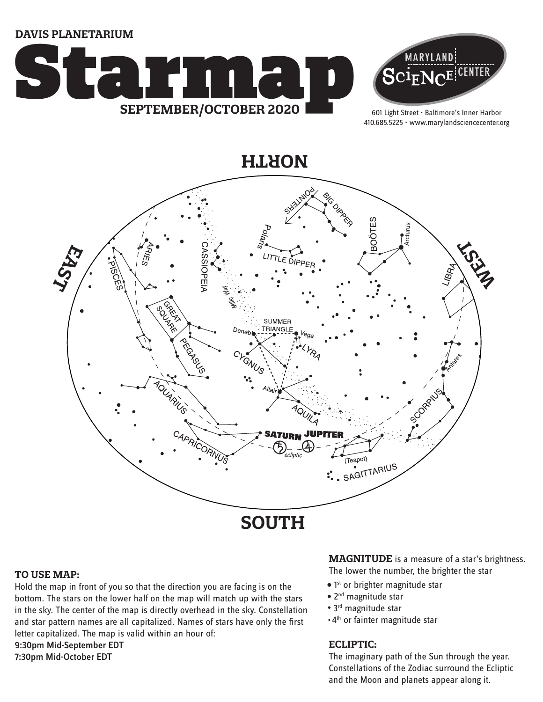**DAVIS PLANETARIUM**





601 Light Street • Baltimore's Inner Harbor 410.685.5225 • www.marylandsciencecenter.org

**NORTH**



#### **TO USE MAP:**

Hold the map in front of you so that the direction you are facing is on the bottom. The stars on the lower half on the map will match up with the stars in the sky. The center of the map is directly overhead in the sky. Constellation and star pattern names are all capitalized. Names of stars have only the first letter capitalized. The map is valid within an hour of: 9:30pm Mid-September EDT

7:30pm Mid-October EDT

## **MAGNITUDE** is a measure of a star's brightness.

The lower the number, the brighter the star

- $\bullet$  1st or brighter magnitude star
- 2<sup>nd</sup> magnitude star
- 3<sup>rd</sup> magnitude star
- 4th or fainter magnitude star

### **ECLIPTIC:**

The imaginary path of the Sun through the year. Constellations of the Zodiac surround the Ecliptic and the Moon and planets appear along it.